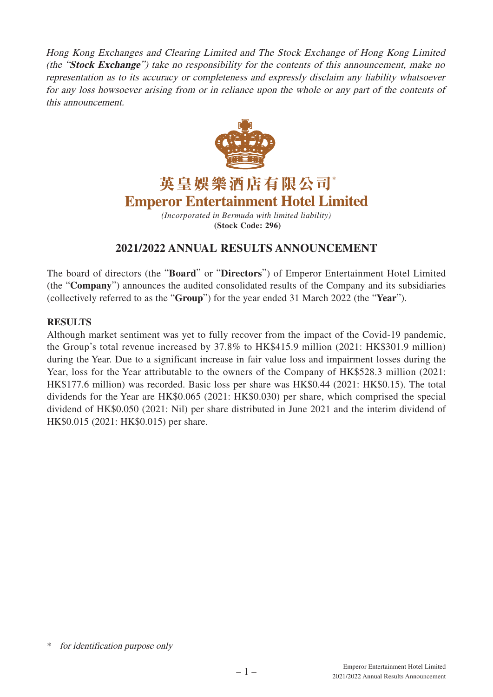Hong Kong Exchanges and Clearing Limited and The Stock Exchange of Hong Kong Limited (the "**Stock Exchange**") take no responsibility for the contents of this announcement, make no representation as to its accuracy or completeness and expressly disclaim any liability whatsoever for any loss howsoever arising from or in reliance upon the whole or any part of the contents of this announcement.



英皇娛樂酒店有限公司\* **Emperor Entertainment Hotel Limited** 

> *(Incorporated in Bermuda with limited liability)* **(Stock Code: 296)**

# **2021/2022 ANNUAL RESULTS ANNOUNCEMENT**

The board of directors (the "**Board**" or "**Directors**") of Emperor Entertainment Hotel Limited (the "**Company**") announces the audited consolidated results of the Company and its subsidiaries (collectively referred to as the "**Group**") for the year ended 31 March 2022 (the "**Year**").

# **RESULTS**

Although market sentiment was yet to fully recover from the impact of the Covid-19 pandemic, the Group's total revenue increased by 37.8% to HK\$415.9 million (2021: HK\$301.9 million) during the Year. Due to a significant increase in fair value loss and impairment losses during the Year, loss for the Year attributable to the owners of the Company of HK\$528.3 million (2021: HK\$177.6 million) was recorded. Basic loss per share was HK\$0.44 (2021: HK\$0.15). The total dividends for the Year are HK\$0.065 (2021: HK\$0.030) per share, which comprised the special dividend of HK\$0.050 (2021: Nil) per share distributed in June 2021 and the interim dividend of HK\$0.015 (2021: HK\$0.015) per share.

for identification purpose only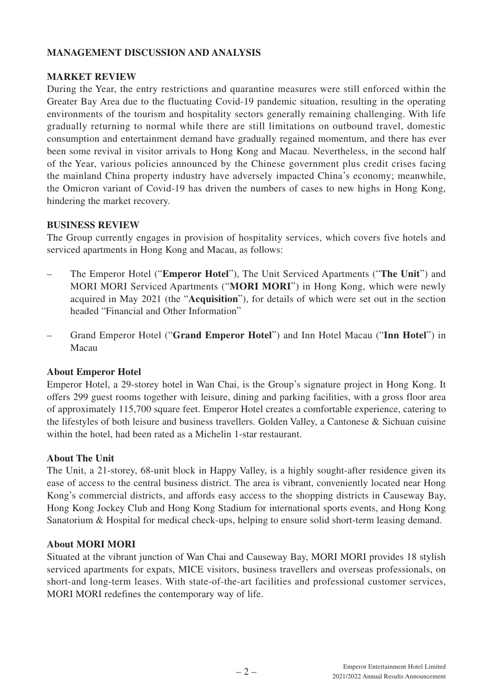# **MANAGEMENT DISCUSSION AND ANALYSIS**

## **MARKET REVIEW**

During the Year, the entry restrictions and quarantine measures were still enforced within the Greater Bay Area due to the fluctuating Covid-19 pandemic situation, resulting in the operating environments of the tourism and hospitality sectors generally remaining challenging. With life gradually returning to normal while there are still limitations on outbound travel, domestic consumption and entertainment demand have gradually regained momentum, and there has ever been some revival in visitor arrivals to Hong Kong and Macau. Nevertheless, in the second half of the Year, various policies announced by the Chinese government plus credit crises facing the mainland China property industry have adversely impacted China's economy; meanwhile, the Omicron variant of Covid-19 has driven the numbers of cases to new highs in Hong Kong, hindering the market recovery.

# **BUSINESS REVIEW**

The Group currently engages in provision of hospitality services, which covers five hotels and serviced apartments in Hong Kong and Macau, as follows:

- The Emperor Hotel ("**Emperor Hotel**"), The Unit Serviced Apartments ("**The Unit**") and MORI MORI Serviced Apartments ("**MORI MORI**") in Hong Kong, which were newly acquired in May 2021 (the "**Acquisition**"), for details of which were set out in the section headed "Financial and Other Information"
- Grand Emperor Hotel ("**Grand Emperor Hotel**") and Inn Hotel Macau ("**Inn Hotel**") in Macau

# **About Emperor Hotel**

Emperor Hotel, a 29-storey hotel in Wan Chai, is the Group's signature project in Hong Kong. It offers 299 guest rooms together with leisure, dining and parking facilities, with a gross floor area of approximately 115,700 square feet. Emperor Hotel creates a comfortable experience, catering to the lifestyles of both leisure and business travellers. Golden Valley, a Cantonese & Sichuan cuisine within the hotel, had been rated as a Michelin 1-star restaurant.

## **About The Unit**

The Unit, a 21-storey, 68-unit block in Happy Valley, is a highly sought-after residence given its ease of access to the central business district. The area is vibrant, conveniently located near Hong Kong's commercial districts, and affords easy access to the shopping districts in Causeway Bay, Hong Kong Jockey Club and Hong Kong Stadium for international sports events, and Hong Kong Sanatorium & Hospital for medical check-ups, helping to ensure solid short-term leasing demand.

## **About MORI MORI**

Situated at the vibrant junction of Wan Chai and Causeway Bay, MORI MORI provides 18 stylish serviced apartments for expats, MICE visitors, business travellers and overseas professionals, on short-and long-term leases. With state-of-the-art facilities and professional customer services, MORI MORI redefines the contemporary way of life.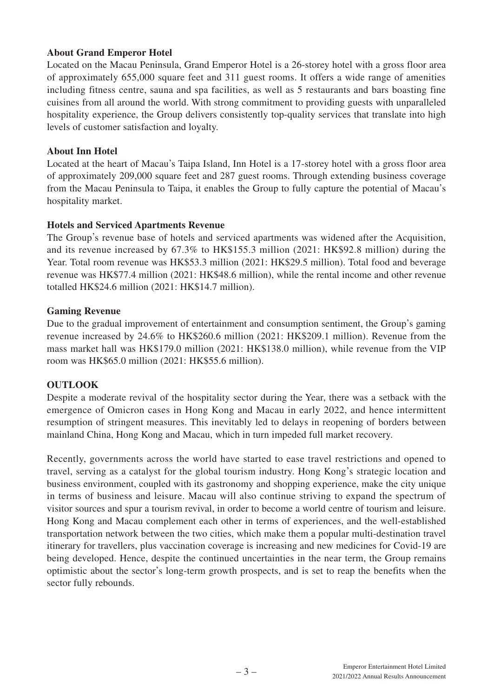# **About Grand Emperor Hotel**

Located on the Macau Peninsula, Grand Emperor Hotel is a 26-storey hotel with a gross floor area of approximately 655,000 square feet and 311 guest rooms. It offers a wide range of amenities including fitness centre, sauna and spa facilities, as well as 5 restaurants and bars boasting fine cuisines from all around the world. With strong commitment to providing guests with unparalleled hospitality experience, the Group delivers consistently top-quality services that translate into high levels of customer satisfaction and loyalty.

## **About Inn Hotel**

Located at the heart of Macau's Taipa Island, Inn Hotel is a 17-storey hotel with a gross floor area of approximately 209,000 square feet and 287 guest rooms. Through extending business coverage from the Macau Peninsula to Taipa, it enables the Group to fully capture the potential of Macau's hospitality market.

## **Hotels and Serviced Apartments Revenue**

The Group's revenue base of hotels and serviced apartments was widened after the Acquisition, and its revenue increased by 67.3% to HK\$155.3 million (2021: HK\$92.8 million) during the Year. Total room revenue was HK\$53.3 million (2021: HK\$29.5 million). Total food and beverage revenue was HK\$77.4 million (2021: HK\$48.6 million), while the rental income and other revenue totalled HK\$24.6 million (2021: HK\$14.7 million).

## **Gaming Revenue**

Due to the gradual improvement of entertainment and consumption sentiment, the Group's gaming revenue increased by 24.6% to HK\$260.6 million (2021: HK\$209.1 million). Revenue from the mass market hall was HK\$179.0 million (2021: HK\$138.0 million), while revenue from the VIP room was HK\$65.0 million (2021: HK\$55.6 million).

## **OUTLOOK**

Despite a moderate revival of the hospitality sector during the Year, there was a setback with the emergence of Omicron cases in Hong Kong and Macau in early 2022, and hence intermittent resumption of stringent measures. This inevitably led to delays in reopening of borders between mainland China, Hong Kong and Macau, which in turn impeded full market recovery.

Recently, governments across the world have started to ease travel restrictions and opened to travel, serving as a catalyst for the global tourism industry. Hong Kong's strategic location and business environment, coupled with its gastronomy and shopping experience, make the city unique in terms of business and leisure. Macau will also continue striving to expand the spectrum of visitor sources and spur a tourism revival, in order to become a world centre of tourism and leisure. Hong Kong and Macau complement each other in terms of experiences, and the well-established transportation network between the two cities, which make them a popular multi-destination travel itinerary for travellers, plus vaccination coverage is increasing and new medicines for Covid-19 are being developed. Hence, despite the continued uncertainties in the near term, the Group remains optimistic about the sector's long-term growth prospects, and is set to reap the benefits when the sector fully rebounds.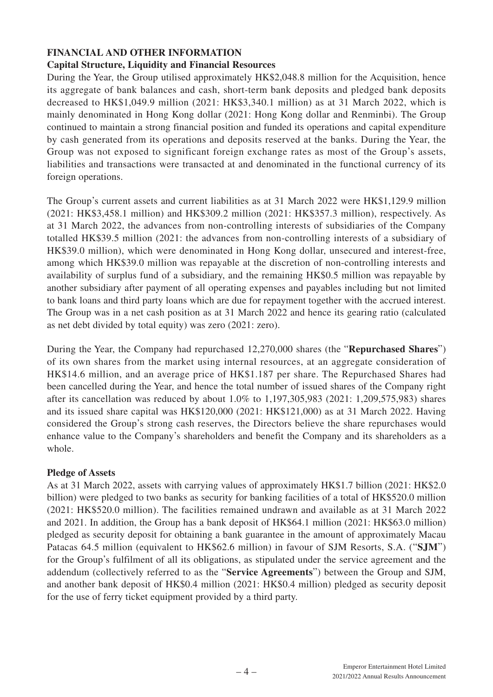# **FINANCIAL AND OTHER INFORMATION**

# **Capital Structure, Liquidity and Financial Resources**

During the Year, the Group utilised approximately HK\$2,048.8 million for the Acquisition, hence its aggregate of bank balances and cash, short-term bank deposits and pledged bank deposits decreased to HK\$1,049.9 million (2021: HK\$3,340.1 million) as at 31 March 2022, which is mainly denominated in Hong Kong dollar (2021: Hong Kong dollar and Renminbi). The Group continued to maintain a strong financial position and funded its operations and capital expenditure by cash generated from its operations and deposits reserved at the banks. During the Year, the Group was not exposed to significant foreign exchange rates as most of the Group's assets, liabilities and transactions were transacted at and denominated in the functional currency of its foreign operations.

The Group's current assets and current liabilities as at 31 March 2022 were HK\$1,129.9 million (2021: HK\$3,458.1 million) and HK\$309.2 million (2021: HK\$357.3 million), respectively. As at 31 March 2022, the advances from non-controlling interests of subsidiaries of the Company totalled HK\$39.5 million (2021: the advances from non-controlling interests of a subsidiary of HK\$39.0 million), which were denominated in Hong Kong dollar, unsecured and interest-free, among which HK\$39.0 million was repayable at the discretion of non-controlling interests and availability of surplus fund of a subsidiary, and the remaining HK\$0.5 million was repayable by another subsidiary after payment of all operating expenses and payables including but not limited to bank loans and third party loans which are due for repayment together with the accrued interest. The Group was in a net cash position as at 31 March 2022 and hence its gearing ratio (calculated as net debt divided by total equity) was zero (2021: zero).

During the Year, the Company had repurchased 12,270,000 shares (the "**Repurchased Shares**") of its own shares from the market using internal resources, at an aggregate consideration of HK\$14.6 million, and an average price of HK\$1.187 per share. The Repurchased Shares had been cancelled during the Year, and hence the total number of issued shares of the Company right after its cancellation was reduced by about 1.0% to 1,197,305,983 (2021: 1,209,575,983) shares and its issued share capital was HK\$120,000 (2021: HK\$121,000) as at 31 March 2022. Having considered the Group's strong cash reserves, the Directors believe the share repurchases would enhance value to the Company's shareholders and benefit the Company and its shareholders as a whole.

## **Pledge of Assets**

As at 31 March 2022, assets with carrying values of approximately HK\$1.7 billion (2021: HK\$2.0 billion) were pledged to two banks as security for banking facilities of a total of HK\$520.0 million (2021: HK\$520.0 million). The facilities remained undrawn and available as at 31 March 2022 and 2021. In addition, the Group has a bank deposit of HK\$64.1 million (2021: HK\$63.0 million) pledged as security deposit for obtaining a bank guarantee in the amount of approximately Macau Patacas 64.5 million (equivalent to HK\$62.6 million) in favour of SJM Resorts, S.A. ("**SJM**") for the Group's fulfilment of all its obligations, as stipulated under the service agreement and the addendum (collectively referred to as the "**Service Agreements**") between the Group and SJM, and another bank deposit of HK\$0.4 million (2021: HK\$0.4 million) pledged as security deposit for the use of ferry ticket equipment provided by a third party.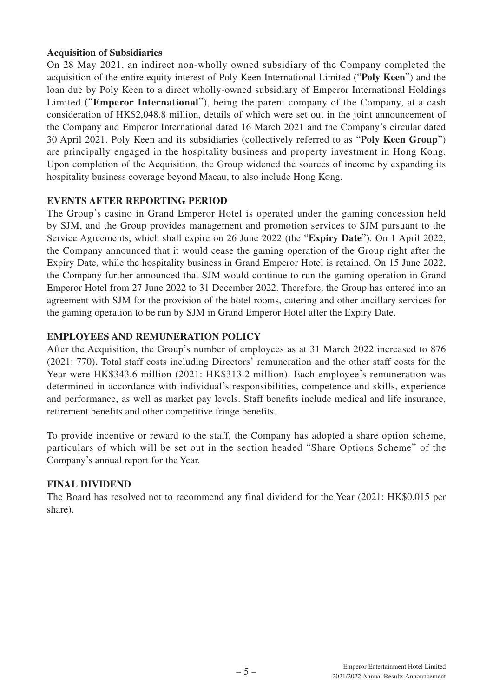# **Acquisition of Subsidiaries**

On 28 May 2021, an indirect non-wholly owned subsidiary of the Company completed the acquisition of the entire equity interest of Poly Keen International Limited ("**Poly Keen**") and the loan due by Poly Keen to a direct wholly-owned subsidiary of Emperor International Holdings Limited ("**Emperor International**"), being the parent company of the Company, at a cash consideration of HK\$2,048.8 million, details of which were set out in the joint announcement of the Company and Emperor International dated 16 March 2021 and the Company's circular dated 30 April 2021. Poly Keen and its subsidiaries (collectively referred to as "**Poly Keen Group**") are principally engaged in the hospitality business and property investment in Hong Kong. Upon completion of the Acquisition, the Group widened the sources of income by expanding its hospitality business coverage beyond Macau, to also include Hong Kong.

# **EVENTS AFTER REPORTING PERIOD**

The Group's casino in Grand Emperor Hotel is operated under the gaming concession held by SJM, and the Group provides management and promotion services to SJM pursuant to the Service Agreements, which shall expire on 26 June 2022 (the "**Expiry Date**"). On 1 April 2022, the Company announced that it would cease the gaming operation of the Group right after the Expiry Date, while the hospitality business in Grand Emperor Hotel is retained. On 15 June 2022, the Company further announced that SJM would continue to run the gaming operation in Grand Emperor Hotel from 27 June 2022 to 31 December 2022. Therefore, the Group has entered into an agreement with SJM for the provision of the hotel rooms, catering and other ancillary services for the gaming operation to be run by SJM in Grand Emperor Hotel after the Expiry Date.

# **EMPLOYEES AND REMUNERATION POLICY**

After the Acquisition, the Group's number of employees as at 31 March 2022 increased to 876 (2021: 770). Total staff costs including Directors' remuneration and the other staff costs for the Year were HK\$343.6 million (2021: HK\$313.2 million). Each employee's remuneration was determined in accordance with individual's responsibilities, competence and skills, experience and performance, as well as market pay levels. Staff benefits include medical and life insurance, retirement benefits and other competitive fringe benefits.

To provide incentive or reward to the staff, the Company has adopted a share option scheme, particulars of which will be set out in the section headed "Share Options Scheme" of the Company's annual report for the Year.

## **FINAL DIVIDEND**

The Board has resolved not to recommend any final dividend for the Year (2021: HK\$0.015 per share).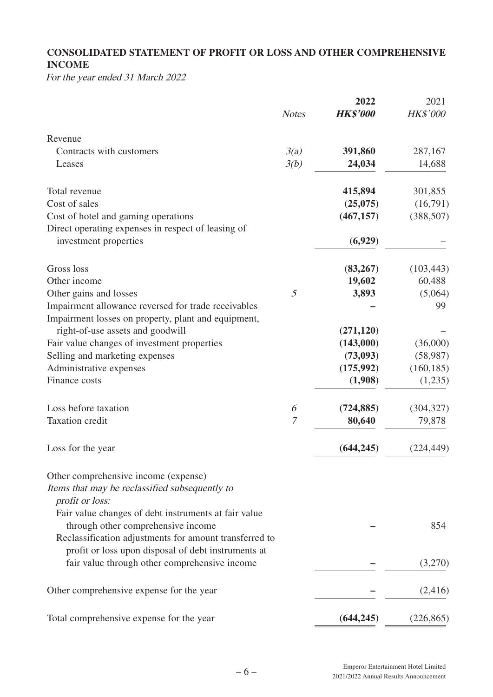# **CONSOLIDATED STATEMENT OF PROFIT OR LOSS AND OTHER COMPREHENSIVE INCOME**

For the year ended 31 March 2022

|                                                                   | <b>Notes</b> | 2022<br><b>HK\$'000</b> | 2021<br><b>HK\$'000</b> |
|-------------------------------------------------------------------|--------------|-------------------------|-------------------------|
|                                                                   |              |                         |                         |
| Revenue                                                           |              |                         |                         |
| Contracts with customers                                          | 3(a)         | 391,860                 | 287,167                 |
| Leases                                                            | 3(b)         | 24,034                  | 14,688                  |
| Total revenue                                                     |              | 415,894                 | 301,855                 |
| Cost of sales                                                     |              | (25,075)                | (16,791)                |
| Cost of hotel and gaming operations                               |              | (467, 157)              | (388, 507)              |
| Direct operating expenses in respect of leasing of                |              |                         |                         |
| investment properties                                             |              | (6,929)                 |                         |
| Gross loss                                                        |              | (83,267)                | (103, 443)              |
| Other income                                                      |              | 19,602                  | 60,488                  |
| Other gains and losses                                            | 5            | 3,893                   | (5,064)                 |
| Impairment allowance reversed for trade receivables               |              |                         | 99                      |
| Impairment losses on property, plant and equipment,               |              |                         |                         |
| right-of-use assets and goodwill                                  |              | (271, 120)              |                         |
| Fair value changes of investment properties                       |              | (143,000)               | (36,000)                |
| Selling and marketing expenses                                    |              | (73,093)                | (58,987)                |
| Administrative expenses                                           |              | (175,992)               | (160, 185)              |
| Finance costs                                                     |              | (1,908)                 | (1,235)                 |
| Loss before taxation                                              | 6            | (724, 885)              | (304, 327)              |
| <b>Taxation</b> credit                                            | 7            | 80,640                  | 79,878                  |
| Loss for the year                                                 |              | (644, 245)              | (224, 449)              |
| Other comprehensive income (expense)                              |              |                         |                         |
| Items that may be reclassified subsequently to<br>profit or loss: |              |                         |                         |
| Fair value changes of debt instruments at fair value              |              |                         |                         |
| through other comprehensive income                                |              |                         | 854                     |
| Reclassification adjustments for amount transferred to            |              |                         |                         |
| profit or loss upon disposal of debt instruments at               |              |                         |                         |
| fair value through other comprehensive income                     |              |                         | (3,270)                 |
| Other comprehensive expense for the year                          |              |                         | (2,416)                 |
| Total comprehensive expense for the year                          |              | (644, 245)              | (226, 865)              |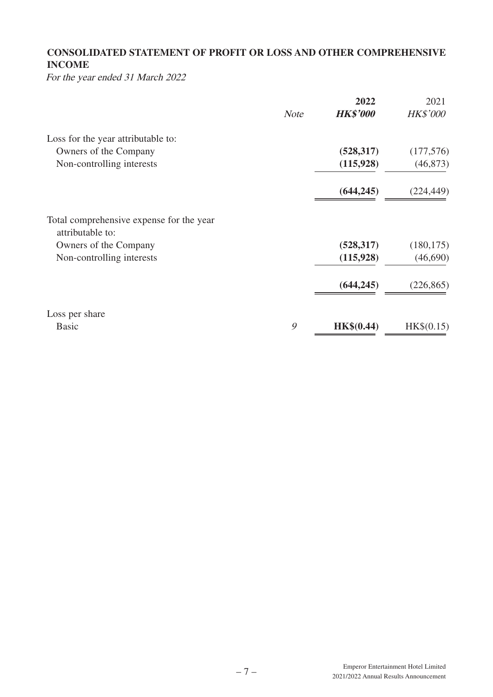# **CONSOLIDATED STATEMENT OF PROFIT OR LOSS AND OTHER COMPREHENSIVE INCOME**

For the year ended 31 March 2022

|                                                              |             | 2022            | 2021            |
|--------------------------------------------------------------|-------------|-----------------|-----------------|
|                                                              | <b>Note</b> | <b>HK\$'000</b> | <b>HK\$'000</b> |
| Loss for the year attributable to:                           |             |                 |                 |
| Owners of the Company                                        |             | (528, 317)      | (177, 576)      |
| Non-controlling interests                                    |             | (115, 928)      | (46, 873)       |
|                                                              |             | (644, 245)      | (224, 449)      |
| Total comprehensive expense for the year<br>attributable to: |             |                 |                 |
| Owners of the Company                                        |             | (528, 317)      | (180, 175)      |
| Non-controlling interests                                    |             | (115,928)       | (46,690)        |
|                                                              |             | (644, 245)      | (226, 865)      |
| Loss per share                                               |             |                 |                 |
| <b>Basic</b>                                                 | 9           | HK\$(0.44)      | HK\$(0.15)      |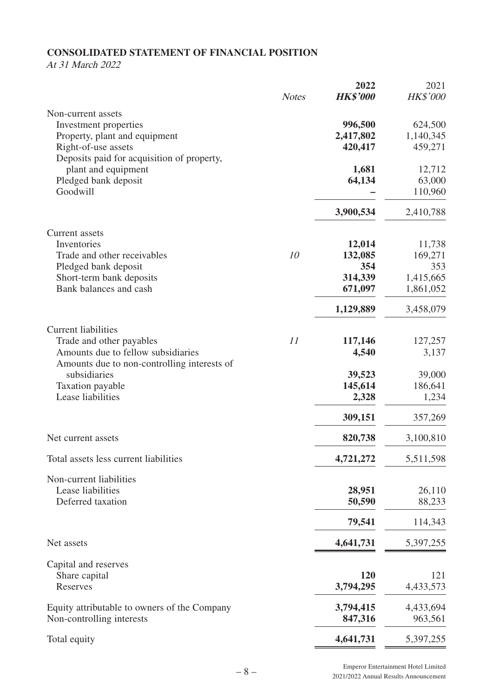# **CONSOLIDATED STATEMENT OF FINANCIAL POSITION**

# At 31 March 2022

|                                                                           |              | 2022             | 2021             |
|---------------------------------------------------------------------------|--------------|------------------|------------------|
|                                                                           | <b>Notes</b> | <b>HK\$'000</b>  | <b>HK\$'000</b>  |
| Non-current assets                                                        |              |                  |                  |
| Investment properties                                                     |              | 996,500          | 624,500          |
| Property, plant and equipment                                             |              | 2,417,802        | 1,140,345        |
| Right-of-use assets                                                       |              | 420,417          | 459,271          |
| Deposits paid for acquisition of property,<br>plant and equipment         |              | 1,681            | 12,712           |
| Pledged bank deposit                                                      |              | 64,134           | 63,000           |
| Goodwill                                                                  |              |                  | 110,960          |
|                                                                           |              | 3,900,534        | 2,410,788        |
|                                                                           |              |                  |                  |
| <b>Current</b> assets<br>Inventories                                      |              | 12,014           | 11,738           |
| Trade and other receivables                                               | 10           | 132,085          | 169,271          |
| Pledged bank deposit                                                      |              | 354              | 353              |
| Short-term bank deposits                                                  |              | 314,339          | 1,415,665        |
| Bank balances and cash                                                    |              | 671,097          | 1,861,052        |
|                                                                           |              |                  |                  |
|                                                                           |              | 1,129,889        | 3,458,079        |
| <b>Current liabilities</b>                                                |              |                  |                  |
| Trade and other payables<br>Amounts due to fellow subsidiaries            | 11           | 117,146<br>4,540 | 127,257<br>3,137 |
| Amounts due to non-controlling interests of                               |              |                  |                  |
| subsidiaries                                                              |              | 39,523           | 39,000           |
| Taxation payable                                                          |              | 145,614          | 186,641          |
| Lease liabilities                                                         |              | 2,328            | 1,234            |
|                                                                           |              | 309,151          | 357,269          |
| Net current assets                                                        |              | 820,738          | 3,100,810        |
|                                                                           |              |                  |                  |
| Total assets less current liabilities                                     |              | 4,721,272        | 5,511,598        |
| Non-current liabilities                                                   |              |                  |                  |
| Lease liabilities                                                         |              | 28,951           | 26,110           |
| Deferred taxation                                                         |              | 50,590           | 88,233           |
|                                                                           |              | 79,541           | 114,343          |
| Net assets                                                                |              | 4,641,731        | 5,397,255        |
| Capital and reserves                                                      |              |                  |                  |
| Share capital                                                             |              | 120              | 121              |
| Reserves                                                                  |              | 3,794,295        | 4,433,573        |
|                                                                           |              | 3,794,415        | 4,433,694        |
| Equity attributable to owners of the Company<br>Non-controlling interests |              | 847,316          | 963,561          |
|                                                                           |              |                  |                  |
| Total equity                                                              |              | 4,641,731        | 5,397,255        |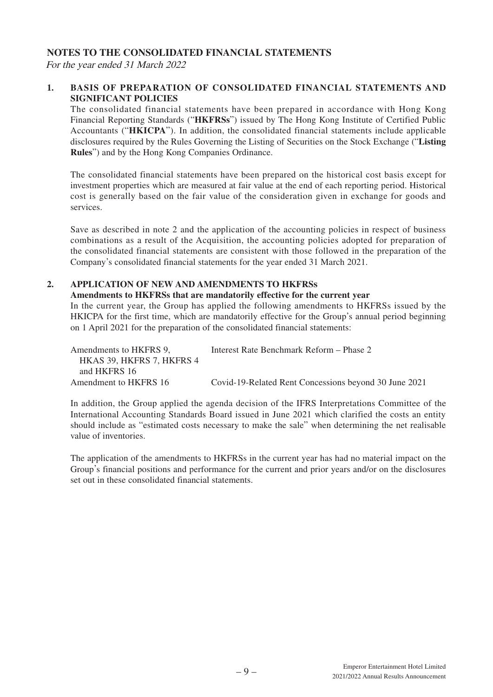## **NOTES TO THE CONSOLIDATED FINANCIAL STATEMENTS**

For the year ended 31 March 2022

## **1. BASIS OF PREPARATION OF CONSOLIDATED FINANCIAL STATEMENTS AND SIGNIFICANT POLICIES**

The consolidated financial statements have been prepared in accordance with Hong Kong Financial Reporting Standards ("**HKFRSs**") issued by The Hong Kong Institute of Certified Public Accountants ("**HKICPA**"). In addition, the consolidated financial statements include applicable disclosures required by the Rules Governing the Listing of Securities on the Stock Exchange ("**Listing Rules**") and by the Hong Kong Companies Ordinance.

The consolidated financial statements have been prepared on the historical cost basis except for investment properties which are measured at fair value at the end of each reporting period. Historical cost is generally based on the fair value of the consideration given in exchange for goods and services.

Save as described in note 2 and the application of the accounting policies in respect of business combinations as a result of the Acquisition, the accounting policies adopted for preparation of the consolidated financial statements are consistent with those followed in the preparation of the Company's consolidated financial statements for the year ended 31 March 2021.

## **2. APPLICATION OF NEW AND AMENDMENTS TO HKFRSS**

#### **Amendments to HKFRSs that are mandatorily effective for the current year**

In the current year, the Group has applied the following amendments to HKFRSs issued by the HKICPA for the first time, which are mandatorily effective for the Group's annual period beginning on 1 April 2021 for the preparation of the consolidated financial statements:

| Amendments to HKFRS 9.    | Interest Rate Benchmark Reform - Phase 2              |
|---------------------------|-------------------------------------------------------|
| HKAS 39. HKFRS 7. HKFRS 4 |                                                       |
| and HKFRS 16              |                                                       |
| Amendment to HKFRS 16     | Covid-19-Related Rent Concessions beyond 30 June 2021 |

In addition, the Group applied the agenda decision of the IFRS Interpretations Committee of the International Accounting Standards Board issued in June 2021 which clarified the costs an entity should include as "estimated costs necessary to make the sale" when determining the net realisable value of inventories.

The application of the amendments to HKFRSs in the current year has had no material impact on the Group's financial positions and performance for the current and prior years and/or on the disclosures set out in these consolidated financial statements.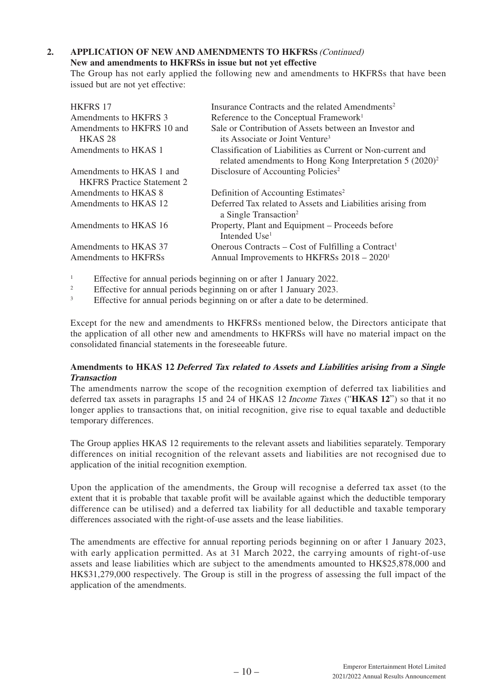# 2. APPLICATION OF NEW AND AMENDMENTS TO HKFRSS (Continued)

## **New and amendments to HKFRSs in issue but not yet effective**

The Group has not early applied the following new and amendments to HKFRSs that have been issued but are not yet effective:

| <b>HKFRS 17</b>                   | Insurance Contracts and the related Amendments <sup>2</sup>                                                                         |
|-----------------------------------|-------------------------------------------------------------------------------------------------------------------------------------|
| Amendments to HKFRS 3             | Reference to the Conceptual Framework <sup>1</sup>                                                                                  |
| Amendments to HKFRS 10 and        | Sale or Contribution of Assets between an Investor and                                                                              |
| HKAS <sub>28</sub>                | its Associate or Joint Venture <sup>3</sup>                                                                                         |
| Amendments to HKAS 1              | Classification of Liabilities as Current or Non-current and<br>related amendments to Hong Kong Interpretation 5 (2020) <sup>2</sup> |
| Amendments to HKAS 1 and          | Disclosure of Accounting Policies <sup>2</sup>                                                                                      |
| <b>HKFRS</b> Practice Statement 2 |                                                                                                                                     |
| Amendments to HKAS 8              | Definition of Accounting Estimates <sup>2</sup>                                                                                     |
| Amendments to HKAS 12             | Deferred Tax related to Assets and Liabilities arising from<br>a Single Transaction <sup>2</sup>                                    |
| Amendments to HKAS 16             | Property, Plant and Equipment – Proceeds before<br>Intended Use <sup>1</sup>                                                        |
| Amendments to HKAS 37             | Onerous Contracts – Cost of Fulfilling a Contract <sup>1</sup>                                                                      |
| Amendments to HKFRSs              | Annual Improvements to HKFRSs 2018 – 2020 <sup>1</sup>                                                                              |

1 Effective for annual periods beginning on or after 1 January 2022.

2 Effective for annual periods beginning on or after 1 January 2023.

3 Effective for annual periods beginning on or after a date to be determined.

Except for the new and amendments to HKFRSs mentioned below, the Directors anticipate that the application of all other new and amendments to HKFRSs will have no material impact on the consolidated financial statements in the foreseeable future.

## **Amendments to HKAS 12 Deferred Tax related to Assets and Liabilities arising from a Single Transaction**

The amendments narrow the scope of the recognition exemption of deferred tax liabilities and deferred tax assets in paragraphs 15 and 24 of HKAS 12 Income Taxes ("**HKAS 12**") so that it no longer applies to transactions that, on initial recognition, give rise to equal taxable and deductible temporary differences.

The Group applies HKAS 12 requirements to the relevant assets and liabilities separately. Temporary differences on initial recognition of the relevant assets and liabilities are not recognised due to application of the initial recognition exemption.

Upon the application of the amendments, the Group will recognise a deferred tax asset (to the extent that it is probable that taxable profit will be available against which the deductible temporary difference can be utilised) and a deferred tax liability for all deductible and taxable temporary differences associated with the right-of-use assets and the lease liabilities.

The amendments are effective for annual reporting periods beginning on or after 1 January 2023, with early application permitted. As at 31 March 2022, the carrying amounts of right-of-use assets and lease liabilities which are subject to the amendments amounted to HK\$25,878,000 and HK\$31,279,000 respectively. The Group is still in the progress of assessing the full impact of the application of the amendments.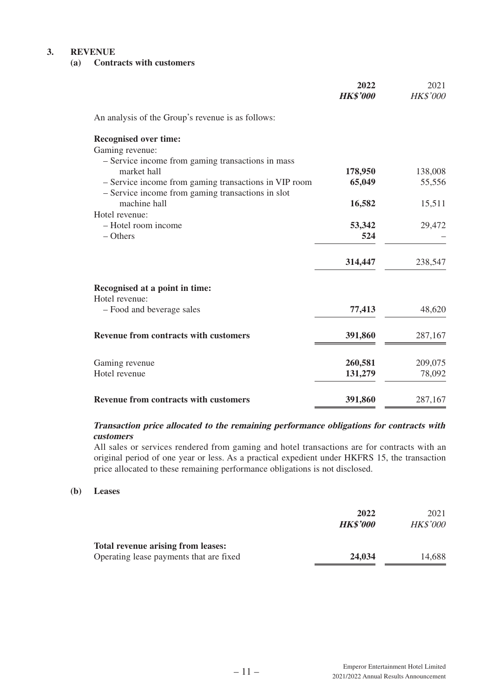#### **3. REVENUE**

## **(a) Contracts with customers**

|                                                       | 2022<br><b>HK\$'000</b> | 2021<br>HK\$'000 |
|-------------------------------------------------------|-------------------------|------------------|
| An analysis of the Group's revenue is as follows:     |                         |                  |
| <b>Recognised over time:</b>                          |                         |                  |
| Gaming revenue:                                       |                         |                  |
| - Service income from gaming transactions in mass     |                         |                  |
| market hall                                           | 178,950                 | 138,008          |
| - Service income from gaming transactions in VIP room | 65,049                  | 55,556           |
| - Service income from gaming transactions in slot     |                         |                  |
| machine hall                                          | 16,582                  | 15,511           |
| Hotel revenue:                                        |                         |                  |
| - Hotel room income                                   | 53,342                  | 29,472           |
| $-$ Others                                            | 524                     |                  |
|                                                       | 314,447                 | 238,547          |
|                                                       |                         |                  |
| Recognised at a point in time:                        |                         |                  |
| Hotel revenue:                                        |                         |                  |
| - Food and beverage sales                             | 77,413                  | 48,620           |
| <b>Revenue from contracts with customers</b>          | 391,860                 | 287,167          |
|                                                       |                         |                  |
| Gaming revenue                                        | 260,581                 | 209,075          |
| Hotel revenue                                         | 131,279                 | 78,092           |
|                                                       |                         |                  |
| <b>Revenue from contracts with customers</b>          | 391,860                 | 287,167          |

## **Transaction price allocated to the remaining performance obligations for contracts with customers**

All sales or services rendered from gaming and hotel transactions are for contracts with an original period of one year or less. As a practical expedient under HKFRS 15, the transaction price allocated to these remaining performance obligations is not disclosed.

#### **(b) Leases**

|                                                                                      | 2022<br><b>HK\$'000</b> | 2021<br><b>HK\$'000</b> |
|--------------------------------------------------------------------------------------|-------------------------|-------------------------|
| <b>Total revenue arising from leases:</b><br>Operating lease payments that are fixed | 24,034                  | 14.688                  |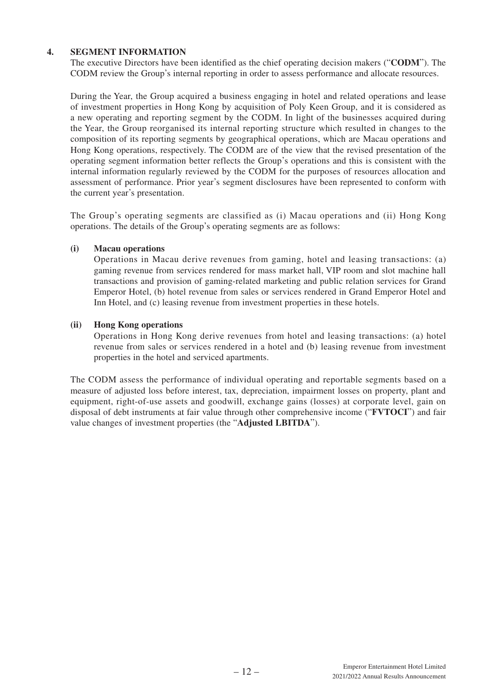## **4. SEGMENT INFORMATION**

The executive Directors have been identified as the chief operating decision makers ("**CODM**"). The CODM review the Group's internal reporting in order to assess performance and allocate resources.

During the Year, the Group acquired a business engaging in hotel and related operations and lease of investment properties in Hong Kong by acquisition of Poly Keen Group, and it is considered as a new operating and reporting segment by the CODM. In light of the businesses acquired during the Year, the Group reorganised its internal reporting structure which resulted in changes to the composition of its reporting segments by geographical operations, which are Macau operations and Hong Kong operations, respectively. The CODM are of the view that the revised presentation of the operating segment information better reflects the Group's operations and this is consistent with the internal information regularly reviewed by the CODM for the purposes of resources allocation and assessment of performance. Prior year's segment disclosures have been represented to conform with the current year's presentation.

The Group's operating segments are classified as (i) Macau operations and (ii) Hong Kong operations. The details of the Group's operating segments are as follows:

## **(i) Macau operations**

Operations in Macau derive revenues from gaming, hotel and leasing transactions: (a) gaming revenue from services rendered for mass market hall, VIP room and slot machine hall transactions and provision of gaming-related marketing and public relation services for Grand Emperor Hotel, (b) hotel revenue from sales or services rendered in Grand Emperor Hotel and Inn Hotel, and (c) leasing revenue from investment properties in these hotels.

## **(ii) Hong Kong operations**

Operations in Hong Kong derive revenues from hotel and leasing transactions: (a) hotel revenue from sales or services rendered in a hotel and (b) leasing revenue from investment properties in the hotel and serviced apartments.

The CODM assess the performance of individual operating and reportable segments based on a measure of adjusted loss before interest, tax, depreciation, impairment losses on property, plant and equipment, right-of-use assets and goodwill, exchange gains (losses) at corporate level, gain on disposal of debt instruments at fair value through other comprehensive income ("**FVTOCI**") and fair value changes of investment properties (the "**Adjusted LBITDA**").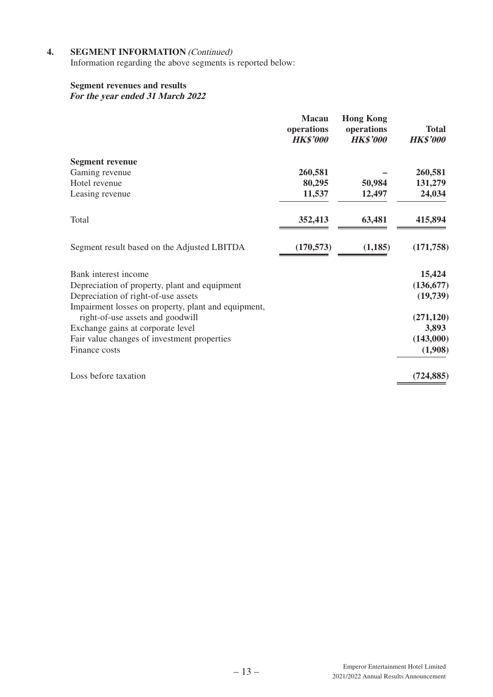# **4.** SEGMENT INFORMATION *(Continued)*

Information regarding the above segments is reported below:

## **Segment revenues and results**

**For the year ended 31 March 2022**

|                                                     | <b>Macau</b><br>operations<br><b>HK\$'000</b> | <b>Hong Kong</b><br>operations<br><b>HK\$'000</b> | <b>Total</b><br><b>HK\$'000</b> |
|-----------------------------------------------------|-----------------------------------------------|---------------------------------------------------|---------------------------------|
| <b>Segment revenue</b>                              |                                               |                                                   |                                 |
| Gaming revenue                                      | 260,581                                       |                                                   | 260,581                         |
| Hotel revenue                                       | 80,295                                        | 50,984                                            | 131,279                         |
| Leasing revenue                                     | 11,537                                        | 12,497                                            | 24,034                          |
| Total                                               | 352,413                                       | 63,481                                            | 415,894                         |
| Segment result based on the Adjusted LBITDA         | (170, 573)                                    | (1, 185)                                          | (171, 758)                      |
| Bank interest income                                |                                               |                                                   | 15,424                          |
| Depreciation of property, plant and equipment       |                                               |                                                   | (136, 677)                      |
| Depreciation of right-of-use assets                 |                                               |                                                   | (19,739)                        |
| Impairment losses on property, plant and equipment, |                                               |                                                   |                                 |
| right-of-use assets and goodwill                    |                                               |                                                   | (271, 120)                      |
| Exchange gains at corporate level                   |                                               |                                                   | 3,893                           |
| Fair value changes of investment properties         |                                               |                                                   | (143,000)                       |
| Finance costs                                       |                                               |                                                   | (1,908)                         |
| Loss before taxation                                |                                               |                                                   | (724, 885)                      |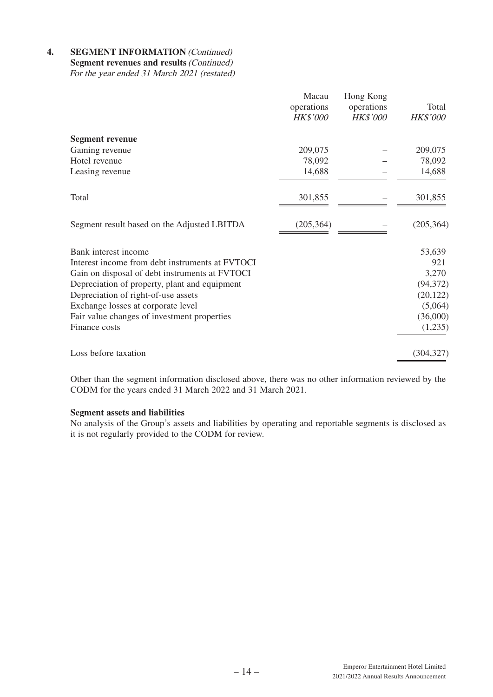**4.** SEGMENT INFORMATION *(Continued)* **Segment revenues and results** (Continued) For the year ended 31 March 2021 (restated)

|                                                 | Macau<br>operations<br><b>HK\$'000</b> | Hong Kong<br>operations<br><b>HK\$'000</b> | Total<br><b>HK\$'000</b> |
|-------------------------------------------------|----------------------------------------|--------------------------------------------|--------------------------|
| <b>Segment revenue</b>                          |                                        |                                            |                          |
| Gaming revenue                                  | 209,075                                |                                            | 209,075                  |
| Hotel revenue                                   | 78,092                                 |                                            | 78,092                   |
| Leasing revenue                                 | 14,688                                 |                                            | 14,688                   |
| Total                                           | 301,855                                |                                            | 301,855                  |
| Segment result based on the Adjusted LBITDA     | (205, 364)                             |                                            | (205, 364)               |
| Bank interest income                            |                                        |                                            | 53,639                   |
| Interest income from debt instruments at FVTOCI |                                        |                                            | 921                      |
| Gain on disposal of debt instruments at FVTOCI  |                                        |                                            | 3,270                    |
| Depreciation of property, plant and equipment   |                                        |                                            | (94, 372)                |
| Depreciation of right-of-use assets             |                                        |                                            | (20, 122)                |
| Exchange losses at corporate level              |                                        |                                            | (5,064)                  |
| Fair value changes of investment properties     |                                        |                                            | (36,000)                 |
| Finance costs                                   |                                        |                                            | (1,235)                  |
| Loss before taxation                            |                                        |                                            | (304, 327)               |

Other than the segment information disclosed above, there was no other information reviewed by the CODM for the years ended 31 March 2022 and 31 March 2021.

## **Segment assets and liabilities**

No analysis of the Group's assets and liabilities by operating and reportable segments is disclosed as it is not regularly provided to the CODM for review.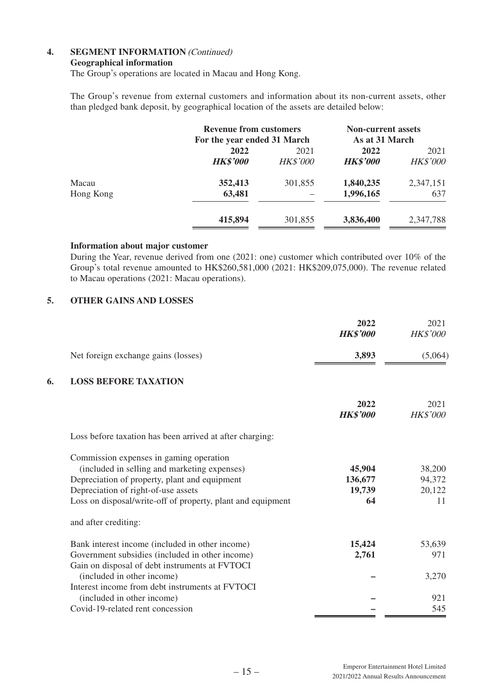## **4.** SEGMENT INFORMATION *(Continued)*

#### **Geographical information**

The Group's operations are located in Macau and Hong Kong.

The Group's revenue from external customers and information about its non-current assets, other than pledged bank deposit, by geographical location of the assets are detailed below:

|           | <b>Revenue from customers</b><br>For the year ended 31 March |                 | <b>Non-current assets</b><br>As at 31 March |                 |
|-----------|--------------------------------------------------------------|-----------------|---------------------------------------------|-----------------|
|           | 2022                                                         | 2021            | 2022                                        | 2021            |
|           | <b>HK\$'000</b>                                              | <b>HK\$'000</b> | <b>HK\$'000</b>                             | <b>HK\$'000</b> |
| Macau     | 352,413                                                      | 301,855         | 1,840,235                                   | 2,347,151       |
| Hong Kong | 63,481                                                       |                 | 1,996,165                                   | 637             |
|           | 415,894                                                      | 301,855         | 3,836,400                                   | 2,347,788       |

#### **Information about major customer**

During the Year, revenue derived from one (2021: one) customer which contributed over 10% of the Group's total revenue amounted to HK\$260,581,000 (2021: HK\$209,075,000). The revenue related to Macau operations (2021: Macau operations).

## **5. OTHER GAINS AND LOSSES**

|    |                                                                                                   | 2022<br><b>HK\$'000</b> | 2021<br><b>HK\$'000</b> |
|----|---------------------------------------------------------------------------------------------------|-------------------------|-------------------------|
|    | Net foreign exchange gains (losses)                                                               | 3,893                   | (5,064)                 |
| 6. | <b>LOSS BEFORE TAXATION</b>                                                                       |                         |                         |
|    |                                                                                                   | 2022<br><b>HK\$'000</b> | 2021<br><b>HK\$'000</b> |
|    | Loss before taxation has been arrived at after charging:                                          |                         |                         |
|    | Commission expenses in gaming operation<br>(included in selling and marketing expenses)           | 45,904                  | 38,200                  |
|    | Depreciation of property, plant and equipment                                                     | 136,677                 | 94,372                  |
|    | Depreciation of right-of-use assets                                                               | 19,739                  | 20,122                  |
|    | Loss on disposal/write-off of property, plant and equipment                                       | 64                      | 11                      |
|    | and after crediting:                                                                              |                         |                         |
|    | Bank interest income (included in other income)                                                   | 15,424                  | 53,639                  |
|    | Government subsidies (included in other income)<br>Gain on disposal of debt instruments at FVTOCI | 2,761                   | 971                     |
|    | (included in other income)<br>Interest income from debt instruments at FVTOCI                     |                         | 3,270                   |
|    | (included in other income)                                                                        |                         | 921                     |
|    | Covid-19-related rent concession                                                                  |                         | 545                     |
|    |                                                                                                   |                         |                         |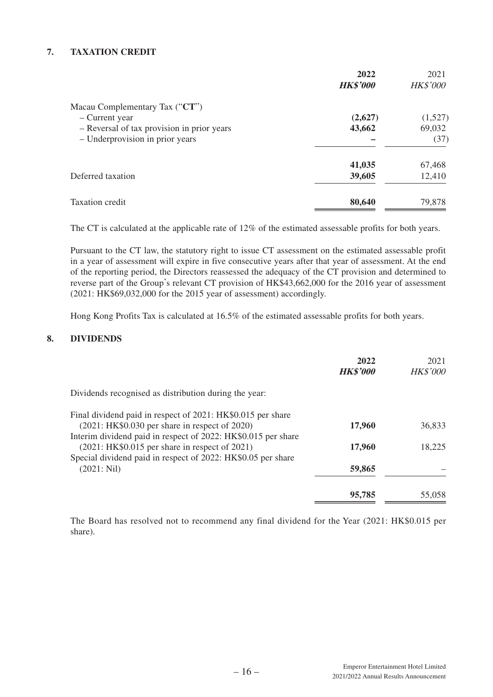## **7. TAXATION CREDIT**

|                                            | 2022<br><b>HK\$'000</b> | 2021<br><b>HK\$'000</b> |
|--------------------------------------------|-------------------------|-------------------------|
| Macau Complementary Tax $("CT")$           |                         |                         |
| - Current year                             | (2,627)                 | (1,527)                 |
| - Reversal of tax provision in prior years | 43,662                  | 69,032                  |
| - Underprovision in prior years            |                         | (37)                    |
|                                            | 41,035                  | 67,468                  |
| Deferred taxation                          | 39,605                  | 12,410                  |
| Taxation credit                            | 80,640                  | 79,878                  |

The CT is calculated at the applicable rate of 12% of the estimated assessable profits for both years.

Pursuant to the CT law, the statutory right to issue CT assessment on the estimated assessable profit in a year of assessment will expire in five consecutive years after that year of assessment. At the end of the reporting period, the Directors reassessed the adequacy of the CT provision and determined to reverse part of the Group's relevant CT provision of HK\$43,662,000 for the 2016 year of assessment (2021: HK\$69,032,000 for the 2015 year of assessment) accordingly.

Hong Kong Profits Tax is calculated at 16.5% of the estimated assessable profits for both years.

## **8. DIVIDENDS**

|                                                               | 2022<br><b>HK\$'000</b> | 2021<br><b>HK\$'000</b> |
|---------------------------------------------------------------|-------------------------|-------------------------|
| Dividends recognised as distribution during the year:         |                         |                         |
| Final dividend paid in respect of 2021: HK\$0.015 per share   |                         |                         |
| $(2021:HK$0.030 per share in respect of 2020)$                | 17,960                  | 36,833                  |
| Interim dividend paid in respect of 2022: HK\$0.015 per share |                         |                         |
| $(2021:HK$0.015 per share in respect of 2021)$                | 17,960                  | 18,225                  |
| Special dividend paid in respect of 2022: HK\$0.05 per share  |                         |                         |
| (2021: Nil)                                                   | 59,865                  |                         |
|                                                               | 95,785                  | 55,058                  |

The Board has resolved not to recommend any final dividend for the Year (2021: HK\$0.015 per share).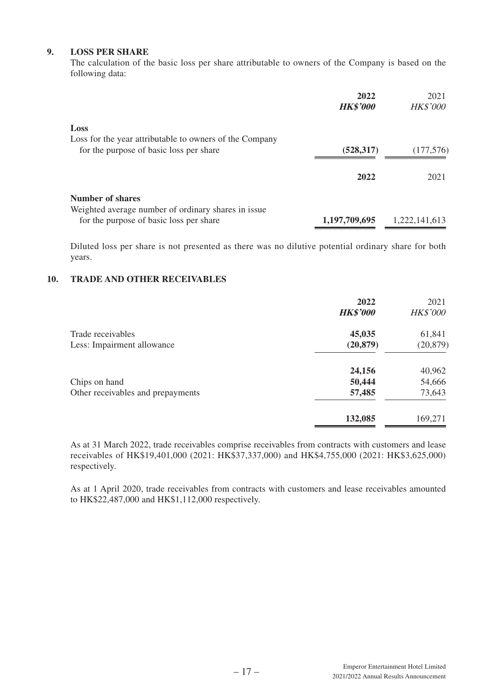## **9. LOSS PER SHARE**

The calculation of the basic loss per share attributable to owners of the Company is based on the following data:

|                                                                                                            | 2022<br><b>HK\$'000</b> | 2021<br><b>HK\$'000</b> |
|------------------------------------------------------------------------------------------------------------|-------------------------|-------------------------|
| Loss<br>Loss for the year attributable to owners of the Company<br>for the purpose of basic loss per share | (528, 317)              | (177,576)               |
|                                                                                                            |                         |                         |
|                                                                                                            | 2022                    | 2021                    |
| Number of shares<br>Weighted average number of ordinary shares in issue                                    |                         |                         |
| for the purpose of basic loss per share                                                                    | 1,197,709,695           | 1,222,141,613           |

Diluted loss per share is not presented as there was no dilutive potential ordinary share for both years.

## **10. TRADE AND OTHER RECEIVABLES**

|                                   | 2022<br><b>HK\$'000</b> | 2021<br><b>HK\$'000</b> |
|-----------------------------------|-------------------------|-------------------------|
| Trade receivables                 | 45,035                  | 61,841                  |
| Less: Impairment allowance        | (20, 879)               | (20, 879)               |
|                                   | 24,156                  | 40,962                  |
| Chips on hand                     | 50,444                  | 54,666                  |
| Other receivables and prepayments | 57,485                  | 73,643                  |
|                                   | 132,085                 | 169,271                 |

As at 31 March 2022, trade receivables comprise receivables from contracts with customers and lease receivables of HK\$19,401,000 (2021: HK\$37,337,000) and HK\$4,755,000 (2021: HK\$3,625,000) respectively.

As at 1 April 2020, trade receivables from contracts with customers and lease receivables amounted to HK\$22,487,000 and HK\$1,112,000 respectively.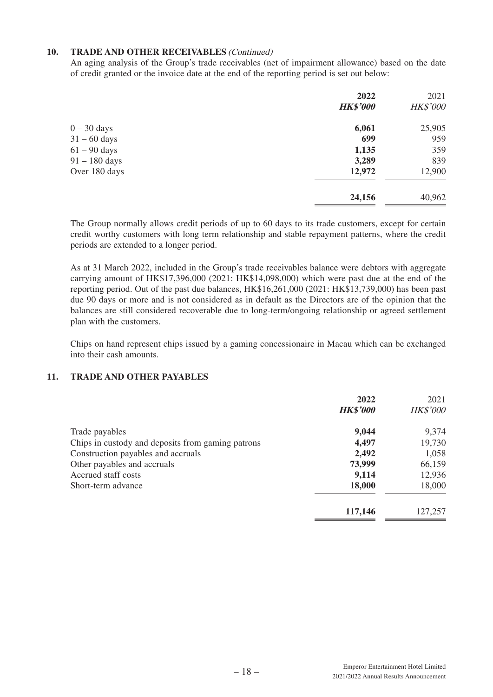## **10. TRADE AND OTHER RECEIVABLES** (Continued)

An aging analysis of the Group's trade receivables (net of impairment allowance) based on the date of credit granted or the invoice date at the end of the reporting period is set out below:

|                 | 2022            | 2021            |
|-----------------|-----------------|-----------------|
|                 | <b>HK\$'000</b> | <b>HK\$'000</b> |
| $0-30$ days     | 6,061           | 25,905          |
| $31 - 60$ days  | 699             | 959             |
| $61 - 90$ days  | 1,135           | 359             |
| $91 - 180$ days | 3,289           | 839             |
| Over 180 days   | 12,972          | 12,900          |
|                 | 24,156          | 40,962          |

The Group normally allows credit periods of up to 60 days to its trade customers, except for certain credit worthy customers with long term relationship and stable repayment patterns, where the credit periods are extended to a longer period.

As at 31 March 2022, included in the Group's trade receivables balance were debtors with aggregate carrying amount of HK\$17,396,000 (2021: HK\$14,098,000) which were past due at the end of the reporting period. Out of the past due balances, HK\$16,261,000 (2021: HK\$13,739,000) has been past due 90 days or more and is not considered as in default as the Directors are of the opinion that the balances are still considered recoverable due to long-term/ongoing relationship or agreed settlement plan with the customers.

Chips on hand represent chips issued by a gaming concessionaire in Macau which can be exchanged into their cash amounts.

## **11. TRADE AND OTHER PAYABLES**

|                                                   | 2022<br><b>HK\$'000</b> | 2021<br><b>HK\$'000</b> |
|---------------------------------------------------|-------------------------|-------------------------|
| Trade payables                                    | 9,044                   | 9,374                   |
| Chips in custody and deposits from gaming patrons | 4,497                   | 19,730                  |
| Construction payables and accruals                | 2,492                   | 1,058                   |
| Other payables and accruals                       | 73,999                  | 66,159                  |
| Accrued staff costs                               | 9,114                   | 12,936                  |
| Short-term advance                                | 18,000                  | 18,000                  |
|                                                   | 117,146                 | 127,257                 |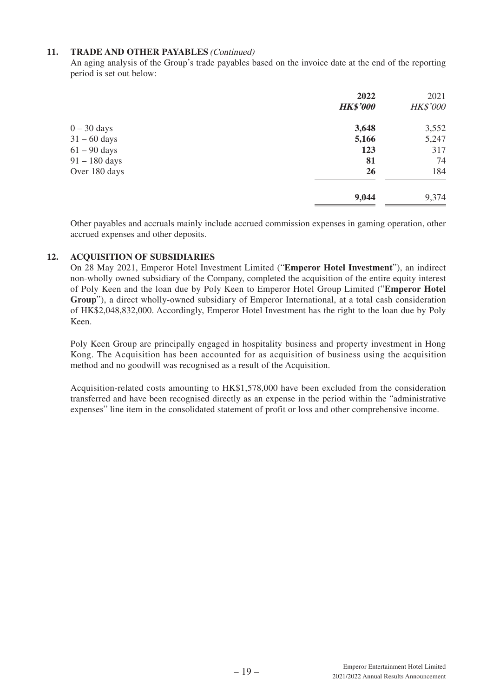## **11. TRADE AND OTHER PAYABLES** (Continued)

An aging analysis of the Group's trade payables based on the invoice date at the end of the reporting period is set out below:

|                 | 2022            | 2021     |
|-----------------|-----------------|----------|
|                 | <b>HK\$'000</b> | HK\$'000 |
| $0 - 30$ days   | 3,648           | 3,552    |
| $31 - 60$ days  | 5,166           | 5,247    |
| $61 - 90$ days  | 123             | 317      |
| $91 - 180$ days | 81              | 74       |
| Over 180 days   | <b>26</b>       | 184      |
|                 | 9,044           | 9,374    |

Other payables and accruals mainly include accrued commission expenses in gaming operation, other accrued expenses and other deposits.

## **12. ACQUISITION OF SUBSIDIARIES**

On 28 May 2021, Emperor Hotel Investment Limited ("**Emperor Hotel Investment**"), an indirect non-wholly owned subsidiary of the Company, completed the acquisition of the entire equity interest of Poly Keen and the loan due by Poly Keen to Emperor Hotel Group Limited ("**Emperor Hotel Group**"), a direct wholly-owned subsidiary of Emperor International, at a total cash consideration of HK\$2,048,832,000. Accordingly, Emperor Hotel Investment has the right to the loan due by Poly Keen.

Poly Keen Group are principally engaged in hospitality business and property investment in Hong Kong. The Acquisition has been accounted for as acquisition of business using the acquisition method and no goodwill was recognised as a result of the Acquisition.

Acquisition-related costs amounting to HK\$1,578,000 have been excluded from the consideration transferred and have been recognised directly as an expense in the period within the "administrative expenses" line item in the consolidated statement of profit or loss and other comprehensive income.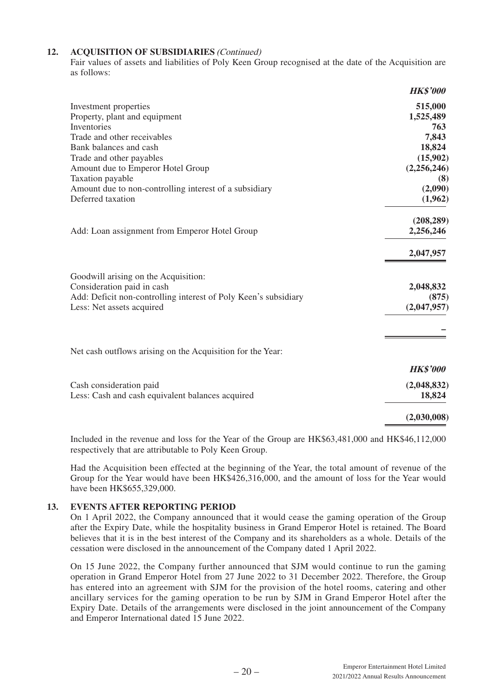#### **12. ACQUISITION OF SUBSIDIARIES** (Continued)

Fair values of assets and liabilities of Poly Keen Group recognised at the date of the Acquisition are as follows:

|                                                                 | <b>HK\$'000</b> |
|-----------------------------------------------------------------|-----------------|
| Investment properties                                           | 515,000         |
| Property, plant and equipment                                   | 1,525,489       |
| Inventories                                                     | 763             |
| Trade and other receivables                                     | 7,843           |
| Bank balances and cash                                          | 18,824          |
| Trade and other payables                                        | (15,902)        |
| Amount due to Emperor Hotel Group                               | (2,256,246)     |
| Taxation payable                                                | (8)             |
| Amount due to non-controlling interest of a subsidiary          | (2,090)         |
| Deferred taxation                                               | (1,962)         |
|                                                                 | (208, 289)      |
| Add: Loan assignment from Emperor Hotel Group                   | 2,256,246       |
|                                                                 | 2,047,957       |
| Goodwill arising on the Acquisition:                            |                 |
| Consideration paid in cash                                      | 2,048,832       |
| Add: Deficit non-controlling interest of Poly Keen's subsidiary | (875)           |
| Less: Net assets acquired                                       | (2,047,957)     |
|                                                                 |                 |
| Net cash outflows arising on the Acquisition for the Year:      |                 |
|                                                                 | <b>HK\$'000</b> |
| Cash consideration paid                                         | (2,048,832)     |
| Less: Cash and cash equivalent balances acquired                | 18,824          |
|                                                                 | (2,030,008)     |

Included in the revenue and loss for the Year of the Group are HK\$63,481,000 and HK\$46,112,000 respectively that are attributable to Poly Keen Group.

Had the Acquisition been effected at the beginning of the Year, the total amount of revenue of the Group for the Year would have been HK\$426,316,000, and the amount of loss for the Year would have been HK\$655,329,000.

#### **13. EVENTS AFTER REPORTING PERIOD**

On 1 April 2022, the Company announced that it would cease the gaming operation of the Group after the Expiry Date, while the hospitality business in Grand Emperor Hotel is retained. The Board believes that it is in the best interest of the Company and its shareholders as a whole. Details of the cessation were disclosed in the announcement of the Company dated 1 April 2022.

On 15 June 2022, the Company further announced that SJM would continue to run the gaming operation in Grand Emperor Hotel from 27 June 2022 to 31 December 2022. Therefore, the Group has entered into an agreement with SJM for the provision of the hotel rooms, catering and other ancillary services for the gaming operation to be run by SJM in Grand Emperor Hotel after the Expiry Date. Details of the arrangements were disclosed in the joint announcement of the Company and Emperor International dated 15 June 2022.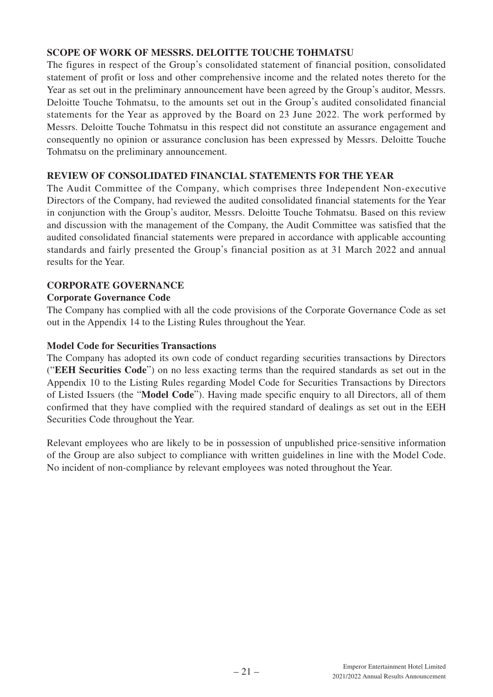# **SCOPE OF WORK OF MESSRS. DELOITTE TOUCHE TOHMATSU**

The figures in respect of the Group's consolidated statement of financial position, consolidated statement of profit or loss and other comprehensive income and the related notes thereto for the Year as set out in the preliminary announcement have been agreed by the Group's auditor, Messrs. Deloitte Touche Tohmatsu, to the amounts set out in the Group's audited consolidated financial statements for the Year as approved by the Board on 23 June 2022. The work performed by Messrs. Deloitte Touche Tohmatsu in this respect did not constitute an assurance engagement and consequently no opinion or assurance conclusion has been expressed by Messrs. Deloitte Touche Tohmatsu on the preliminary announcement.

# **REVIEW OF CONSOLIDATED FINANCIAL STATEMENTS FOR THE YEAR**

The Audit Committee of the Company, which comprises three Independent Non-executive Directors of the Company, had reviewed the audited consolidated financial statements for the Year in conjunction with the Group's auditor, Messrs. Deloitte Touche Tohmatsu. Based on this review and discussion with the management of the Company, the Audit Committee was satisfied that the audited consolidated financial statements were prepared in accordance with applicable accounting standards and fairly presented the Group's financial position as at 31 March 2022 and annual results for the Year.

# **CORPORATE GOVERNANCE**

# **Corporate Governance Code**

The Company has complied with all the code provisions of the Corporate Governance Code as set out in the Appendix 14 to the Listing Rules throughout the Year.

## **Model Code for Securities Transactions**

The Company has adopted its own code of conduct regarding securities transactions by Directors ("**EEH Securities Code**") on no less exacting terms than the required standards as set out in the Appendix 10 to the Listing Rules regarding Model Code for Securities Transactions by Directors of Listed Issuers (the "**Model Code**"). Having made specific enquiry to all Directors, all of them confirmed that they have complied with the required standard of dealings as set out in the EEH Securities Code throughout the Year.

Relevant employees who are likely to be in possession of unpublished price-sensitive information of the Group are also subject to compliance with written guidelines in line with the Model Code. No incident of non-compliance by relevant employees was noted throughout the Year.